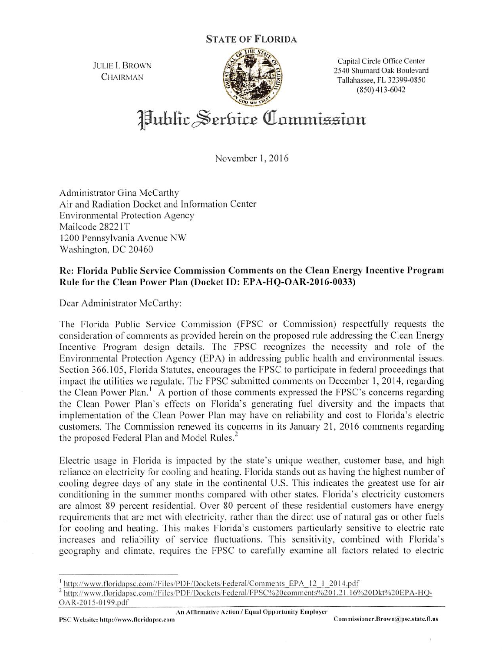State of Florida



JULIE I. BROWN Capital Circle Office Center CHAIRMAN 2540 Shumard Oak Boulevard<br>CHAIRMAN Tallahassee, FL 32399-0850  $(850)$  413-6042

Hublic Serbice Commission

November 1. 2016

Administrator Gina McCarthy Air and Radiation Docket and Information Center Environmental Protection Agency Mailcode 28221T 1200 Pennsylvania Avenue NW Washington, DC 20460

## Re: Florida Public Service Commission Comments on the Clean Energy Incentive Program Rule for the Clean Power Plan (Docket ID: EPA-HQ-OAR-2016-0033)

Dear Administrator McCarthy:

The Florida Public Service Commission (FPSC or Commission) respectfully requests the consideration of comments as provided herein on the proposed rule addressing the Clean Energy Ineentive Program design details, The FPSC recognizes the necessity and role of the Environmental Protection Agency (EPA) in addressing public health and environmental issues. Section 366.105, Florida Statutes, encourages the FPSC to participate in federal proceedings that impact the utilities we regulate. The FPSC submitted comments on December 1, 2014, regarding the Clean Power Plan.' A portion of those comments expressed the FPSC's concerns regarding the Clean Power Plan's effects on Florida's generating fuel diversity and the impacts that implementation of the Clean Power Plan may have on reliability and cost to Florida's electric customers. The Commission renewed its concerns in its January 21, 2016 comments regarding the proposed Federal Plan and Model Rules.<sup>2</sup>

Electric usage in Florida is impacted by the state's unique weather, customer base, and high reliance on electricity for cooling and heating. Florida stands out as having the highest number of cooling degree days of any state in the continental U.S. This indicates the greatest use for air conditioning in the summer months compared with other states. Florida's electricity customers are almost 89 percent residential. Over 80 percent of these residential customers have energy requirements that are met with electricity, rather than the direct use of natural gas or other fuels for cooling and heating. This makes Florida's customers particularly sensitive to electric rate increases and reliability of service fluctuations. This sensitivity, combined with Florida's geography and climate, requires the FPSC to earefully examine all factors related to electric

An Affirmative Action / Equal Opportunity Employer

 $<sup>1</sup>$  http://www.floridapsc.com//Files/PDF/Dockets/Federal/Comments EPA 12\_1\_2014.pdf</sup>

<sup>&</sup>lt;sup>2</sup> http://www.floridapsc.com//Files/PDF/Dockets/Federal/FPSC%20comments%201.21.16%20Dkt%20EPA-HQ-OAR-20]5-Q]99.ndf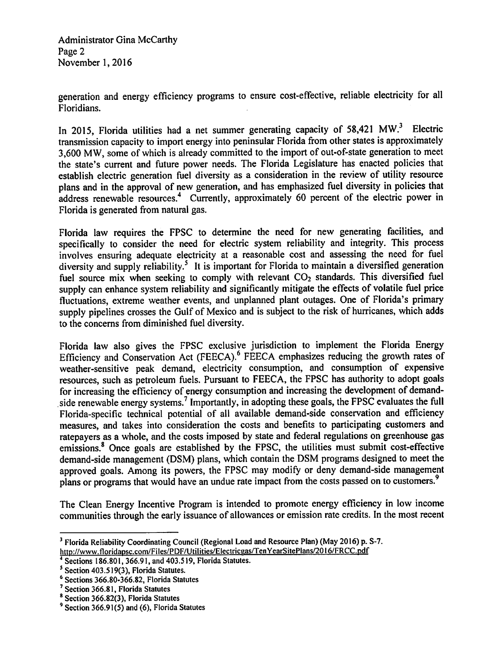Administrator Gina McCarthy Page 2 November 1,2016

generation and energy efficiency programs to ensure cost-effective, reliable electricity for all Floridians.

In 2015, Florida utilities had a net summer generating capacity of 58,421 MW.<sup>3</sup> Electric transmission capacity to import energy into peninsular Florida from other states is approximately 3,600 MW, some of which is already committed to the import of out-of-state generation to meet the state's current and future power needs. The Florida Legislature has enacted policies that establish electric generation fuel diversity as a consideration in the review of utility resource plans and in the approval of new generation, and has emphasized fuel diversity in policies that address renewable resources.<sup>4</sup> Currently, approximately 60 percent of the electric power in Florida is generated from natural gas.

Florida law requires the FPSC to determine the need for new generating facilities, and specifically to consider the need for electric system reliability and integrity. This process involves ensuring adequate electricity at a reasonable cost and assessing the need for fuel diversity and supply reliability.<sup>5</sup> It is important for Florida to maintain a diversified generation fuel source mix when seeking to comply with relevant  $CO<sub>2</sub>$  standards. This diversified fuel supply can enhance system reliability and significantly mitigate the effects of volatile fuel price fluctuations, extreme weather events, and unplanned plant outages. One of Florida's primary supply pipelines crosses the Gulf of Mexico and is subject to the risk of hurricanes, which adds to the concerns from diminished fuel diversity.

Florida law also gives the FPSC exclusive jurisdiction to implement the Florida Energy Efficiency and Conservation Act (FEECA).<sup>6</sup> FEECA emphasizes reducing the growth rates of weather-sensitive peak demand, electricity consumption, and consumption of expensive resources, such as petroleum fuels. Pursuant to FEECA, the FPSC has authority to adopt goals for increasing the efficiency of energy consumption and increasing the development of demandside renewable energy systems.<sup>7</sup> Importantly, in adopting these goals, the FPSC evaluates the full Florida-specific technical potential of all available demand-side conservation and efficiency measures, and takes into consideration the costs and benefits to participating customers and ratepayers as a whole, and the costs imposed by state and federal regulations on greenhouse gas emissions.® Once goals are established by the FPSC, the utilities must submit cost-effective demand-side management (DSM) plans, which contain the DSM programs designed to meet the approved goals. Among its powers, the FPSC may modify or deny demand-side management plans or programs that would have an undue rate impact from the costs passed on to customers.'

The Clean Energy Incentive Program is intended to promote energy efficiency in low income communities through the early issuance of allowances or emission rate credits. In the most recent

<sup>&#</sup>x27; Florida Reliability Coordinating Council (Regional Load and Resource Plan) (May 2016) p. S-7. http://www.floridapsc.com/Files/PDF/Utilities/Electricgas/TenYearSitePlans/2016/FRCC.pdf

Sections 186.801, 366.91, and 403.519, Florida Statutes.

 $<sup>5</sup>$  Section 403.519(3), Florida Statutes.</sup>

<sup>&#</sup>x27; Sections 366.80-366.82, Florida Statutes

<sup>&</sup>lt;sup>7</sup> Section 366.81, Florida Statutes

<sup>\*</sup> Section 366.82(3), Florida Statutes

<sup>&</sup>lt;sup>9</sup> Section 366.91(5) and (6), Florida Statutes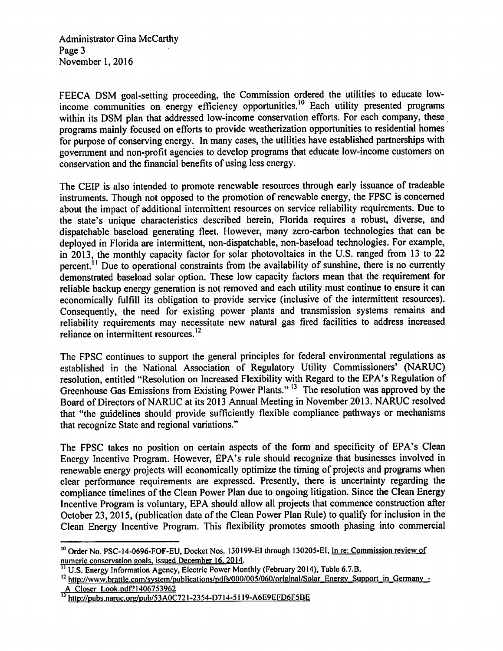Administrator Gina McCarthy Page 3 November 1,2016

FEECA DSM goal-setting proceeding, the Commission ordered the utilities to educate lowincome communities on energy efficiency opportunities.<sup>10</sup> Each utility presented programs within its DSM plan that addressed low-income conservation efforts. For each company, these programs mainly focused on efforts to provide weatherization opportunities to residential homes for purpose of conserving energy. In many cases, the utilities have established partnerships with government and non-profit agencies to develop programs that educate low-income customers on conservation and the financial benefits of using less energy.

The CEIP is also intended to promote renewable resources through early issuance of tradeable instruments. Though not opposed to the promotion of renewable energy, the FPSC is concerned about the impact of additional intermittent resources on service reliability requirements. Due to the state's unique characteristics described herein, Florida requires a robust, diverse, and dispatchable baseload generating fleet. However, many zero-carbon technologies that can be deployed in Florida are intermittent, non-dispatchable, non-baseload technologies. For example, in 2013, the monthly capacity factor for solar photovoltaics in the U.S. ranged from 13 to 22 percent.<sup>11</sup> Due to operational constraints from the availability of sunshine, there is no currently demonstrated baseload solar option. These low capacity factors mean that the requirement for reliable backup energy generation is not removed and each utility must continue to ensure it can economically fulfill its obligation to provide service (inclusive of the intermittent resources). Consequently, the need for existing power plants and transmission systems remains and reliability requirements may necessitate new natural gas fired facilities to address increased reliance on intermittent resources. $<sup>12</sup>$ </sup>

The FPSC continues to support the general principles for federal environmental regulations as established in the National Association of Regulatory Utility Commissioners' (NARUC) resolution, entitled "Resolution on Increased Flexibility with Regard to the EPA's Regulation of Greenhouse Gas Emissions from Existing Power Plants."<sup>13</sup> The resolution was approved by the Board of Directors of NARUC at its 2013 Annual Meeting in November 2013. NARUC resolved that "the guidelines should provide sufficiently flexible compliance pathways or meehanisms that recognize State and regional variations."

The FPSC takes no position on certain aspeets of the form and specificity of EPA's Clean Energy Incentive Program. However, EPA's rule should recognize that businesses involved in renewable energy projects will economically optimize the timing of projects and programs when clear performance requirements are expressed. Presently, there is uncertainty regarding the compliance timelines of the Clean Power Plan due to ongoing litigation. Since the Clean Energy Incentive Program is voluntary, EPA should allow all projects that commence construction after October 23, 2015, (publication date of the Clean Power Plan Rule) to qualify for inclusion in the Clean Energy Incentive Program. This flexibility promotes smooth phasing into commercial

<sup>&</sup>lt;sup>10</sup> Order No. PSC-14-0696-FOF-EU, Docket Nos. 130199-EI through 130205-EI, In re: Commission review of

numeric conservation goals, issued December 16, 2014.<br><sup>11</sup> U.S. Energy Information Agency, Electric Power Monthly (February 2014), Table 6.7.B.

<sup>&</sup>lt;sup>12</sup> http://www.brattle.com/system/publications/pdfs/000/005/060/original/Solar Energy Support in Germany -A Closer Look.pdf?1406753962

<sup>&</sup>lt;sup>13</sup> http://pubs.naruc.org/pub/53A0C721-2354-D714-5119-A6E9EFD6F5BE